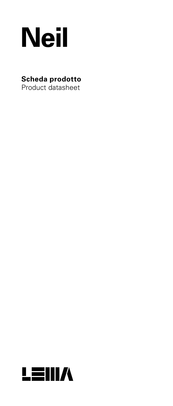

# **Scheda prodotto**

Product datasheet

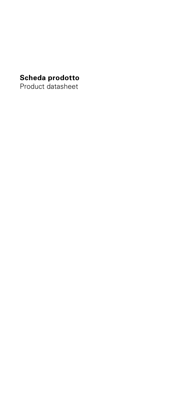# **Scheda prodotto**

Product datasheet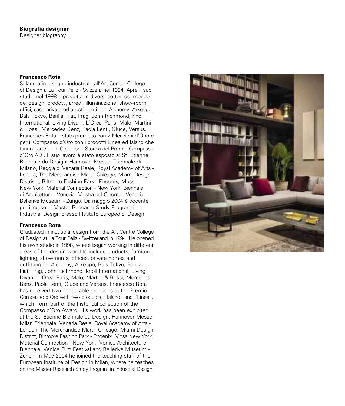# **Biografia designer**

Designer biography

# **Francesco Rota**

Si laurea in disegno industriale all'Art Center College of Design a La Tour Peliz - Svizzera nel 1994. Apre il suo studio nel 1998 e progetta in diversi settori del mondo del design, prodotti, arredi, illuminazione, show-room, uffici, case private ed allestimenti per: Alchemy, Arketipo, Bals Tokyo, Barilla, Fiat, Frag, John Richmond, Knoll International, Living Divani, L'Oreal Paris, Malo, Martini & Rossi, Mercedes Benz, Paola Lenti, Oluce, Versus. Francesco Rota è stato premiato con 2 Menzioni d'Onore per il Compasso d'Oro con i prodotti Linea ed Island che fanno parte della Collezione Storica del Premio Compasso d'Oro ADI. Il suo lavoro è stato esposto a: St. Etienne Biennale du Design, Hannover Messe, Triennale di Milano, Reggia di Venaria Reale, Royal Academy of Arts - Londra, The Merchandise Mart - Chicago, Miami Design Distrisct, Biltmore Fashion Park - Phoenix, Moss - New York, Material Connection - New York, Biennale di Architettura - Venezia, Mostra del Cinema - Venezia, Bellerive Museum - Zurigo. Da maggio 2004 è docente per il corso di Master Research Study Program in Industrial Design presso l'Istituto Europeo di Design.

#### **Francesco Rota**

Graduated in industrial design from the Art Centre College of Design at La Tour Peliz - Switzerland in 1994. He opened his own studio in 1998, where began working in different areas of the design world to include products, furniture, lighting, showrooms, offices, private homes and outfitting for Alchemy, Arketipo, Bals Tokyo, Barilla, Fiat, Frag, John Richmond, Knoll International, Living Divani, L'Oreal Paris, Malo, Martini & Rossi, Mercedes Benz, Paola Lenti, Oluce and Versus. Francesco Rota has received two honourable mentions at the Premio Compasso d'Oro with two products, "Island" and "Linea", which form part of the historical collection of the Compasso d'Oro Award. His work has been exhibited at the St. Etienne Biennale du Design, Hannover Messe, Milan Triennale, Venaria Reale, Royal Academy of Arts - London, The Merchandise Mart - Chicago, Miami Design District, Biltmore Fashion Park - Phoenix, Moss New York, Material Connection - New York, Venice Architecture Biennale, Venice Film Festival and Bellerive Museum - Zurich. In May 2004 he joined the teaching staff of the European Institute of Design in Milan, where he teaches on the Master Research Study Program in Industrial Design.

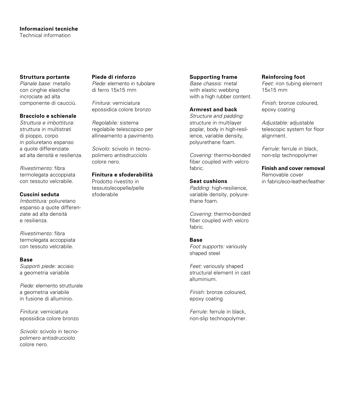# **Informazioni tecniche**

Technical information

# **Struttura portante**

*Pianale base:* metallo con cinghie elastiche incrociate ad alta componente di caucciù.

#### **Bracciolo e schienale**

*Struttura e imbottitura:* struttura in multistrati di pioppo, corpo in poliuretano espanso a quote differenziate ad alta densità e resilienza.

*Rivestimento:* fibra termolegata accoppiata con tessuto velcrabile.

# **Cuscini seduta**

*Imbottitura:* poliuretano espanso a quote differenziate ad alta densità e resilienza.

*Rivestimento:* fibra termolegata accoppiata con tessuto velcrabile.

#### **Base**

*Supporti piede:* acciaio a geometria variabile

*Piede:* elemento strutturale a geometria variabile in fusione di alluminio.

*Finitura:* verniciatura epossidica colore bronzo

*Scivolo:* scivolo in tecnopolimero antisdrucciolo colore nero.

#### **Piede di rinforzo**

*Piede:* elemento in tubolare di ferro 15x15 mm

*Finitura:* verniciatura epossidica colore bronzo

*Regolabile:* sistema regolabile telescopico per allineamento a pavimento.

*Scivolo:* scivolo in tecnopolimero antisdrucciolo colore nero.

#### **Finitura e sfoderabilità**

Prodotto rivestito in tessuto/ecopelle/pelle sfoderabile

# **Supporting frame**

*Base chassis:* metal with elastic webbing with a high rubber content.

# **Armrest and back**

*Structure and padding:* structure in multilayer poplar, body in high-resilience, variable density, polyurethane foam.

*Covering:* thermo-bonded fiber coupled with velcro fabric.

# **Seat cushions**

*Padding:* high-resilience, variable density, polyurethane foam.

*Covering:* thermo-bonded fiber coupled with velcro fabric.

# **Base**

*Foot supports:* variously shaped steel

*Feet:* variously shaped structural element in cast alluminium.

*Finish:* bronze coloured, epoxy coating

*Ferrule:* ferrule in black, non-slip technopolymer.

#### **Reinforcing foot**

*Feet:* iron tubing element 15x15 mm

*Finish:* bronze coloured, epoxy coating

*Adjustable:* adjustable telescopic system for floor alignment.

*Ferrule:* ferrule in black, non-slip technopolymer

**Finish and cover removal** Removable cover in fabric/eco-leather/leather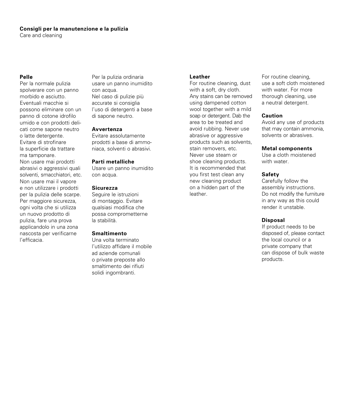# **Consigli per la manutenzione e la pulizia**

Care and cleaning

# **Pelle**

Per la normale pulizia spolverare con un panno morbido e asciutto. Eventuali macchie si possono eliminare con un panno di cotone idrofilo umido e con prodotti delicati come sapone neutro o latte detergente. Evitare di strofinare la superficie da trattare ma tamponare. Non usare mai prodotti abrasivi o aggressivi quali solventi, smacchiatori, etc. Non usare mai il vapore e non utilizzare i prodotti per la pulizia delle scarpe. Per maggiore sicurezza, ogni volta che si utilizza un nuovo prodotto di pulizia, fare una prova applicandolo in una zona nascosta per verificarne l'efficacia.

Per la pulizia ordinaria usare un panno inumidito con acqua. Nel caso di pulizie più accurate si consiglia l'uso di detergenti a base di sapone neutro.

#### **Avvertenza**

Evitare assolutamente prodotti a base di ammoniaca, solventi o abrasivi.

#### **Parti metalliche**

Usare un panno inumidito con acqua.

# **Sicurezza**

Seguire le istruzioni di montaggio. Evitare qualsiasi modifica che possa comprometterne la stabilità.

# **Smaltimento**

Una volta terminato l'utilizzo affidare il mobile ad aziende comunali o private preposte allo smaltimento dei rifiuti solidi ingombranti.

#### **Leather**

For routine cleaning, dust with a soft, dry cloth. Any stains can be removed using dampened cotton wool together with a mild soap or detergent. Dab the area to be treated and avoid rubbing. Never use abrasive or aggressive products such as solvents, stain removers, etc. Never use steam or shoe cleaning products. It is recommended that you first test clean any new cleaning product on a hidden part of the leather.

For routine cleaning, use a soft cloth moistened with water. For more thorough cleaning, use a neutral detergent.

#### **Caution**

Avoid any use of products that may contain ammonia, solvents or abrasives.

#### **Metal components**

Use a cloth moistened with water.

#### **Safety**

Carefully follow the assembly instructions. Do not modify the furniture in any way as this could render it unstable.

#### **Disposal**

If product needs to be disposed of, please contact the local council or a private company that can dispose of bulk waste products.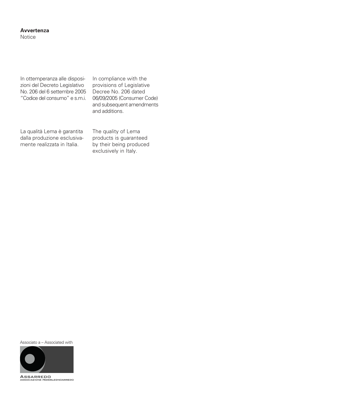# **Avvertenza**

Notice

In ottemperanza alle disposizioni del Decreto Legislativo No. 206 del 6 settembre 2005 "Codice del consumo" e s.m.i. In compliance with the provisions of Legislative Decree No. 206 dated 06/09/2005 (Consumer Code) and subsequent amendments and additions.

La qualità Lema è garantita dalla produzione esclusivamente realizzata in Italia.

The quality of Lema products is guaranteed by their being produced exclusively in Italy.

Associato a – Associated with



ASSARREDO<br>ASSARREDO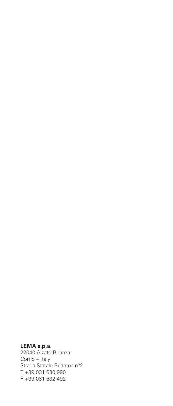# **LEMA s.p.a.**

22040 Alzate Brianza Como – Italy Strada Statale Briantea n°2 T +39 031 630 990 F +39 031 632 492